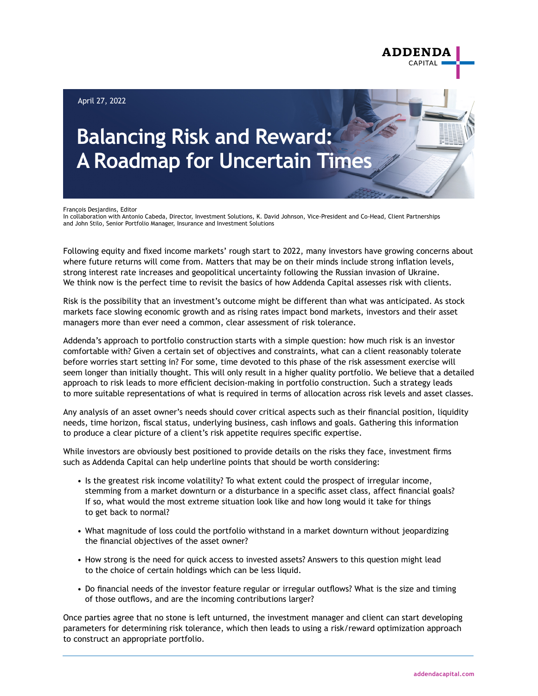

François Desjardins, Editor

In collaboration with Antonio Cabeda, Director, Investment Solutions, K. David Johnson, Vice-President and Co-Head, Client Partnerships and John Stilo, Senior Portfolio Manager, Insurance and Investment Solutions

Following equity and fixed income markets' rough start to 2022, many investors have growing concerns about where future returns will come from. Matters that may be on their minds include strong inflation levels, strong interest rate increases and geopolitical uncertainty following the Russian invasion of Ukraine. We think now is the perfect time to revisit the basics of how Addenda Capital assesses risk with clients.

Risk is the possibility that an investment's outcome might be different than what was anticipated. As stock markets face slowing economic growth and as rising rates impact bond markets, investors and their asset managers more than ever need a common, clear assessment of risk tolerance.

Addenda's approach to portfolio construction starts with a simple question: how much risk is an investor comfortable with? Given a certain set of objectives and constraints, what can a client reasonably tolerate before worries start setting in? For some, time devoted to this phase of the risk assessment exercise will seem longer than initially thought. This will only result in a higher quality portfolio. We believe that a detailed approach to risk leads to more efficient decision-making in portfolio construction. Such a strategy leads to more suitable representations of what is required in terms of allocation across risk levels and asset classes.

Any analysis of an asset owner's needs should cover critical aspects such as their financial position, liquidity needs, time horizon, fiscal status, underlying business, cash inflows and goals. Gathering this information to produce a clear picture of a client's risk appetite requires specific expertise.

While investors are obviously best positioned to provide details on the risks they face, investment firms such as Addenda Capital can help underline points that should be worth considering:

- Is the greatest risk income volatility? To what extent could the prospect of irregular income, stemming from a market downturn or a disturbance in a specific asset class, affect financial goals? If so, what would the most extreme situation look like and how long would it take for things to get back to normal?
- What magnitude of loss could the portfolio withstand in a market downturn without jeopardizing the financial objectives of the asset owner?
- How strong is the need for quick access to invested assets? Answers to this question might lead to the choice of certain holdings which can be less liquid.
- Do financial needs of the investor feature regular or irregular outflows? What is the size and timing of those outflows, and are the incoming contributions larger?

Once parties agree that no stone is left unturned, the investment manager and client can start developing parameters for determining risk tolerance, which then leads to using a risk/reward optimization approach to construct an appropriate portfolio.

**ADDENDA**